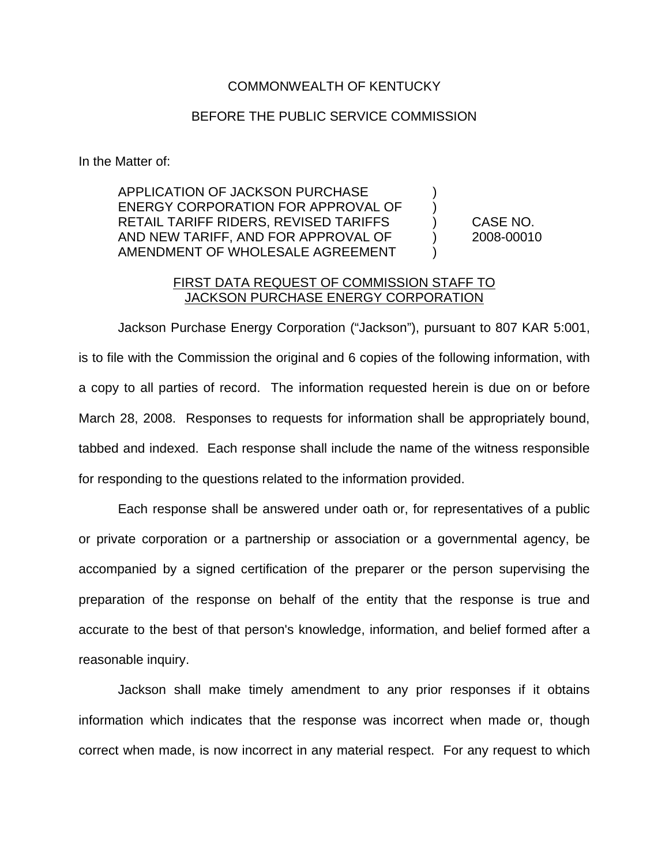## COMMONWEALTH OF KENTUCKY

## BEFORE THE PUBLIC SERVICE COMMISSION

In the Matter of:

APPLICATION OF JACKSON PURCHASE ) ENERGY CORPORATION FOR APPROVAL OF  $\qquad$  ) RETAIL TARIFF RIDERS, REVISED TARIFFS ) CASE NO. AND NEW TARIFF, AND FOR APPROVAL OF  $\qquad \qquad$  2008-00010 AMENDMENT OF WHOLESALE AGREEMENT

## FIRST DATA REQUEST OF COMMISSION STAFF TO JACKSON PURCHASE ENERGY CORPORATION

Jackson Purchase Energy Corporation ("Jackson"), pursuant to 807 KAR 5:001, is to file with the Commission the original and 6 copies of the following information, with a copy to all parties of record. The information requested herein is due on or before March 28, 2008. Responses to requests for information shall be appropriately bound, tabbed and indexed. Each response shall include the name of the witness responsible for responding to the questions related to the information provided.

Each response shall be answered under oath or, for representatives of a public or private corporation or a partnership or association or a governmental agency, be accompanied by a signed certification of the preparer or the person supervising the preparation of the response on behalf of the entity that the response is true and accurate to the best of that person's knowledge, information, and belief formed after a reasonable inquiry.

Jackson shall make timely amendment to any prior responses if it obtains information which indicates that the response was incorrect when made or, though correct when made, is now incorrect in any material respect. For any request to which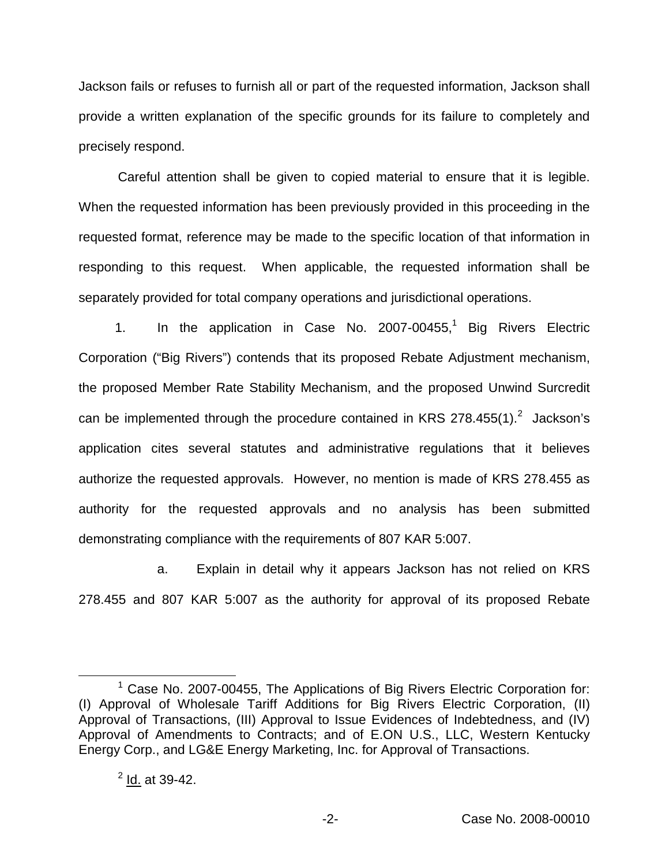Jackson fails or refuses to furnish all or part of the requested information, Jackson shall provide a written explanation of the specific grounds for its failure to completely and precisely respond.

Careful attention shall be given to copied material to ensure that it is legible. When the requested information has been previously provided in this proceeding in the requested format, reference may be made to the specific location of that information in responding to this request. When applicable, the requested information shall be separately provided for total company operations and jurisdictional operations.

1. In the application in Case No. 2007-00455,<sup>1</sup> Big Rivers Electric Corporation ("Big Rivers") contends that its proposed Rebate Adjustment mechanism, the proposed Member Rate Stability Mechanism, and the proposed Unwind Surcredit can be implemented through the procedure contained in KRS 278.455(1). $^2$  Jackson's application cites several statutes and administrative regulations that it believes authorize the requested approvals. However, no mention is made of KRS 278.455 as authority for the requested approvals and no analysis has been submitted demonstrating compliance with the requirements of 807 KAR 5:007.

a. Explain in detail why it appears Jackson has not relied on KRS 278.455 and 807 KAR 5:007 as the authority for approval of its proposed Rebate

 $1$  Case No. 2007-00455, The Applications of Big Rivers Electric Corporation for: (I) Approval of Wholesale Tariff Additions for Big Rivers Electric Corporation, (II) Approval of Transactions, (III) Approval to Issue Evidences of Indebtedness, and (IV) Approval of Amendments to Contracts; and of E.ON U.S., LLC, Western Kentucky Energy Corp., and LG&E Energy Marketing, Inc. for Approval of Transactions.

 $^{2}$  Id. at 39-42.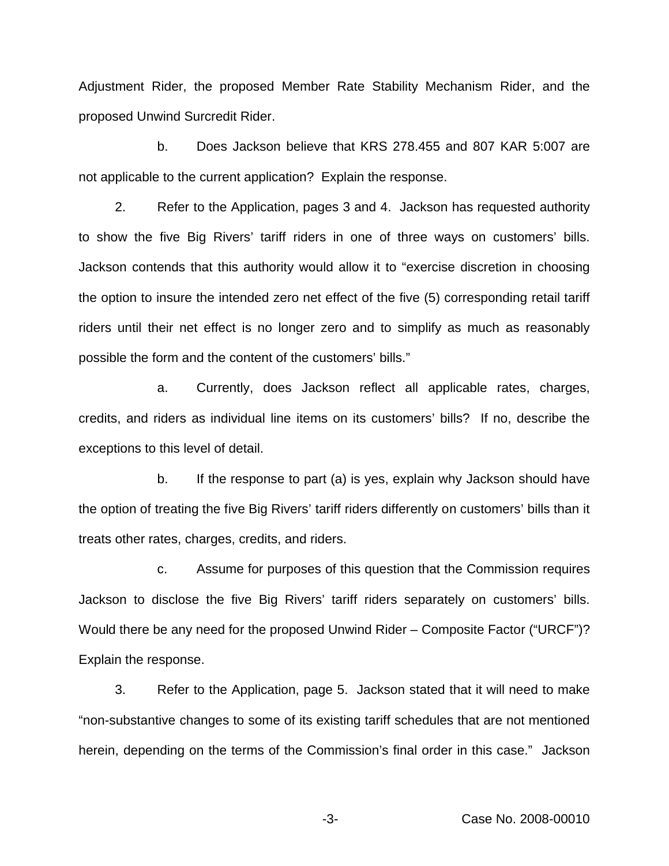Adjustment Rider, the proposed Member Rate Stability Mechanism Rider, and the proposed Unwind Surcredit Rider.

b. Does Jackson believe that KRS 278.455 and 807 KAR 5:007 are not applicable to the current application? Explain the response.

2. Refer to the Application, pages 3 and 4. Jackson has requested authority to show the five Big Rivers' tariff riders in one of three ways on customers' bills. Jackson contends that this authority would allow it to "exercise discretion in choosing the option to insure the intended zero net effect of the five (5) corresponding retail tariff riders until their net effect is no longer zero and to simplify as much as reasonably possible the form and the content of the customers' bills."

a. Currently, does Jackson reflect all applicable rates, charges, credits, and riders as individual line items on its customers' bills? If no, describe the exceptions to this level of detail.

b. If the response to part (a) is yes, explain why Jackson should have the option of treating the five Big Rivers' tariff riders differently on customers' bills than it treats other rates, charges, credits, and riders.

c. Assume for purposes of this question that the Commission requires Jackson to disclose the five Big Rivers' tariff riders separately on customers' bills. Would there be any need for the proposed Unwind Rider – Composite Factor ("URCF")? Explain the response.

3. Refer to the Application, page 5. Jackson stated that it will need to make "non-substantive changes to some of its existing tariff schedules that are not mentioned herein, depending on the terms of the Commission's final order in this case." Jackson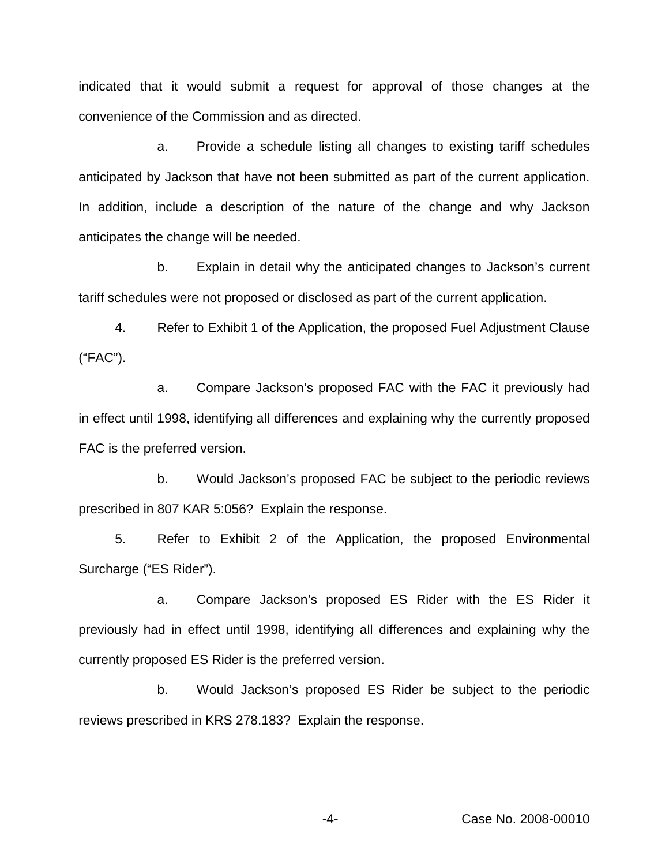indicated that it would submit a request for approval of those changes at the convenience of the Commission and as directed.

a. Provide a schedule listing all changes to existing tariff schedules anticipated by Jackson that have not been submitted as part of the current application. In addition, include a description of the nature of the change and why Jackson anticipates the change will be needed.

b. Explain in detail why the anticipated changes to Jackson's current tariff schedules were not proposed or disclosed as part of the current application.

4. Refer to Exhibit 1 of the Application, the proposed Fuel Adjustment Clause ("FAC").

a. Compare Jackson's proposed FAC with the FAC it previously had in effect until 1998, identifying all differences and explaining why the currently proposed FAC is the preferred version.

b. Would Jackson's proposed FAC be subject to the periodic reviews prescribed in 807 KAR 5:056? Explain the response.

5. Refer to Exhibit 2 of the Application, the proposed Environmental Surcharge ("ES Rider").

a. Compare Jackson's proposed ES Rider with the ES Rider it previously had in effect until 1998, identifying all differences and explaining why the currently proposed ES Rider is the preferred version.

b. Would Jackson's proposed ES Rider be subject to the periodic reviews prescribed in KRS 278.183? Explain the response.

-4- Case No. 2008-00010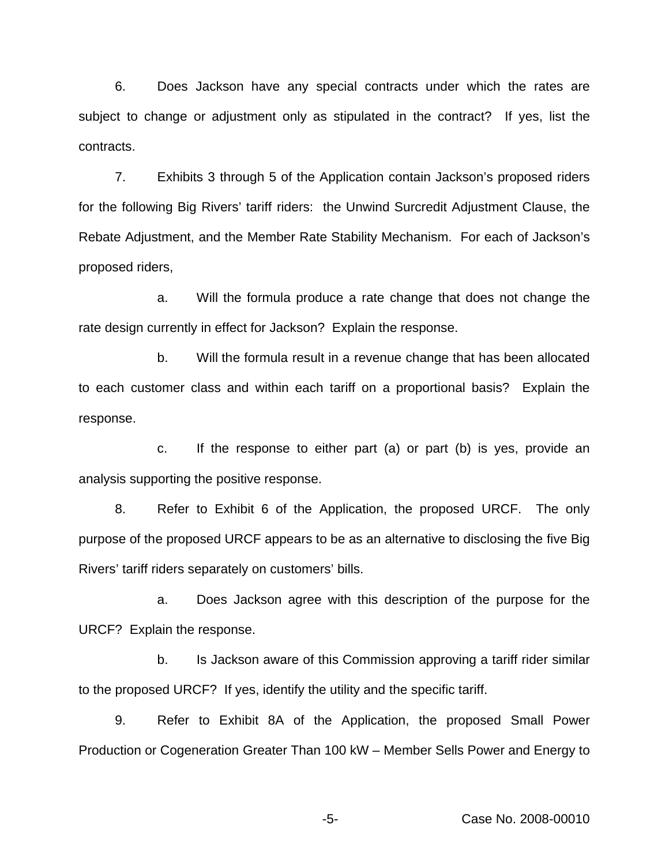6. Does Jackson have any special contracts under which the rates are subject to change or adjustment only as stipulated in the contract? If yes, list the contracts.

7. Exhibits 3 through 5 of the Application contain Jackson's proposed riders for the following Big Rivers' tariff riders: the Unwind Surcredit Adjustment Clause, the Rebate Adjustment, and the Member Rate Stability Mechanism. For each of Jackson's proposed riders,

a. Will the formula produce a rate change that does not change the rate design currently in effect for Jackson? Explain the response.

b. Will the formula result in a revenue change that has been allocated to each customer class and within each tariff on a proportional basis? Explain the response.

c. If the response to either part (a) or part (b) is yes, provide an analysis supporting the positive response.

8. Refer to Exhibit 6 of the Application, the proposed URCF. The only purpose of the proposed URCF appears to be as an alternative to disclosing the five Big Rivers' tariff riders separately on customers' bills.

a. Does Jackson agree with this description of the purpose for the URCF? Explain the response.

b. Is Jackson aware of this Commission approving a tariff rider similar to the proposed URCF? If yes, identify the utility and the specific tariff.

9. Refer to Exhibit 8A of the Application, the proposed Small Power Production or Cogeneration Greater Than 100 kW – Member Sells Power and Energy to

-5- Case No. 2008-00010